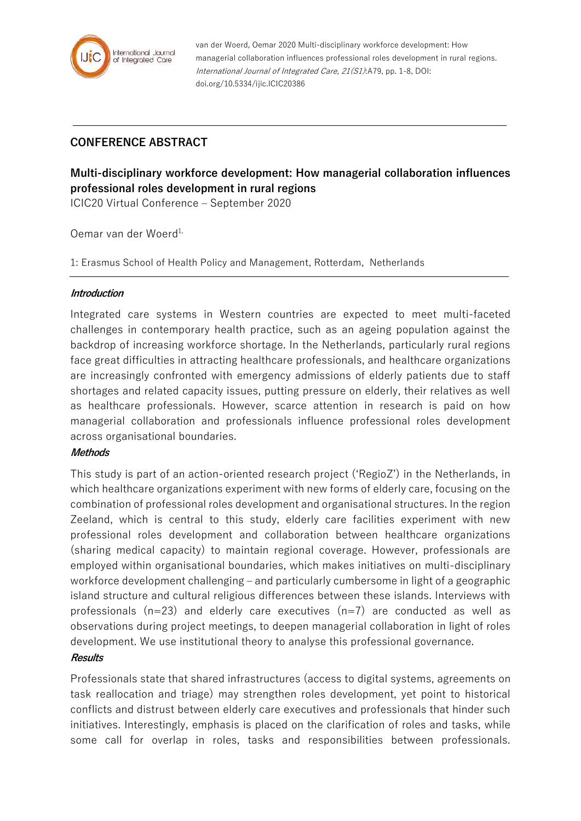

van der Woerd, Oemar 2020 Multi-disciplinary workforce development: How managerial collaboration influences professional roles development in rural regions. International Journal of Integrated Care, 21(S1):A79, pp. 1-8, DOI: doi.org/10.5334/ijic.ICIC20386

# **CONFERENCE ABSTRACT**

# **Multi-disciplinary workforce development: How managerial collaboration influences professional roles development in rural regions**

ICIC20 Virtual Conference – September 2020

Oemar van der Woerd<sup>1,</sup>

1: Erasmus School of Health Policy and Management, Rotterdam, Netherlands

#### **Introduction**

Integrated care systems in Western countries are expected to meet multi-faceted challenges in contemporary health practice, such as an ageing population against the backdrop of increasing workforce shortage. In the Netherlands, particularly rural regions face great difficulties in attracting healthcare professionals, and healthcare organizations are increasingly confronted with emergency admissions of elderly patients due to staff shortages and related capacity issues, putting pressure on elderly, their relatives as well as healthcare professionals. However, scarce attention in research is paid on how managerial collaboration and professionals influence professional roles development across organisational boundaries.

## **Methods**

This study is part of an action-oriented research project ('RegioZ') in the Netherlands, in which healthcare organizations experiment with new forms of elderly care, focusing on the combination of professional roles development and organisational structures. In the region Zeeland, which is central to this study, elderly care facilities experiment with new professional roles development and collaboration between healthcare organizations (sharing medical capacity) to maintain regional coverage. However, professionals are employed within organisational boundaries, which makes initiatives on multi-disciplinary workforce development challenging – and particularly cumbersome in light of a geographic island structure and cultural religious differences between these islands. Interviews with professionals  $(n=23)$  and elderly care executives  $(n=7)$  are conducted as well as observations during project meetings, to deepen managerial collaboration in light of roles development. We use institutional theory to analyse this professional governance.

## **Results**

Professionals state that shared infrastructures (access to digital systems, agreements on task reallocation and triage) may strengthen roles development, yet point to historical conflicts and distrust between elderly care executives and professionals that hinder such initiatives. Interestingly, emphasis is placed on the clarification of roles and tasks, while some call for overlap in roles, tasks and responsibilities between professionals.